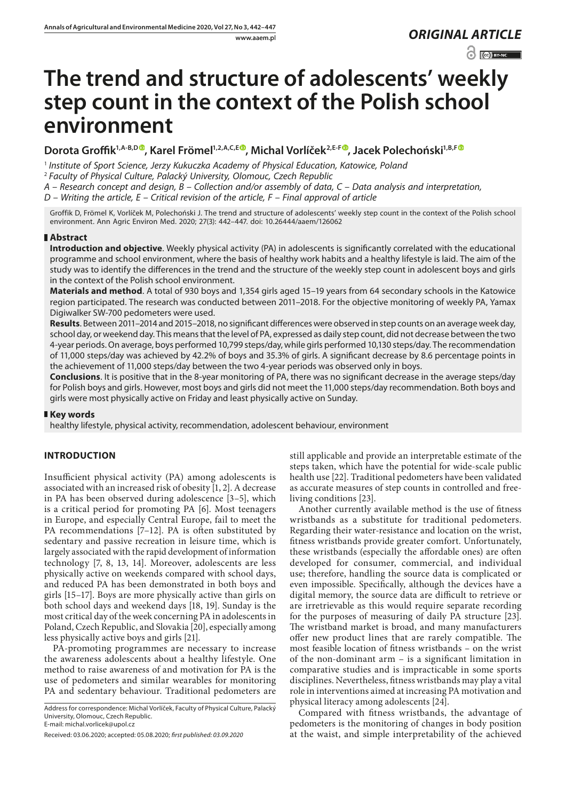www.aaem.pl *ORIGINAL [ARTICLE](https://creativecommons.org/licenses/by-nc/3.0/pl/deed.en)* 

 $\odot$   $\odot$  BY-NC

# **The trend and structure of adolescents' weekly step count in the context of the Polish school environment**

# Dorota Groffik<sup>1[,](https://orcid.org/0000-0002-2266-2457)A-B,D</sup><sup>O</sup>, Karel Frömel<sup>1,2,A,C,E</sub><sub>O</sub>, Michal Vorlíček<sup>2,E-F</sup><sup>O</sup>, Jacek Polechoński<sup>1,B,F</sup><sup>O</sup></sup>

<sup>1</sup> *Institute of Sport Science, Jerzy Kukuczka Academy of Physical Education, Katowice, Poland*

<sup>2</sup> *Faculty of Physical Culture, Palacký University, Olomouc, Czech Republic*

*A – Research concept and design, B – Collection and/or assembly of data, C – Data analysis and interpretation,* 

*D – Writing the article, E – Critical revision of the article, F – Final approval of article*

Groffik D, Frömel K, Vorlíček M, Polechoński J. The trend and structure of adolescents' weekly step count in the context of the Polish school environment. Ann Agric Environ Med. 2020; 27(3): 442–447. doi: 10.26444/aaem/126062

## **Abstract**

**Introduction and objective**. Weekly physical activity (PA) in adolescents is significantly correlated with the educational programme and school environment, where the basis of healthy work habits and a healthy lifestyle is laid. The aim of the study was to identify the differences in the trend and the structure of the weekly step count in adolescent boys and girls in the context of the Polish school environment.

**Materials and method**. A total of 930 boys and 1,354 girls aged 15–19 years from 64 secondary schools in the Katowice region participated. The research was conducted between 2011–2018. For the objective monitoring of weekly PA, Yamax Digiwalker SW-700 pedometers were used.

**Results**. Between 2011–2014 and 2015–2018, no significant differences were observed in step counts on an average week day, school day, or weekend day. This means that the level of PA, expressed as daily step count, did not decrease between the two 4-year periods. On average, boys performed 10,799 steps/day, while girls performed 10,130 steps/day. The recommendation of 11,000 steps/day was achieved by 42.2% of boys and 35.3% of girls. A significant decrease by 8.6 percentage points in the achievement of 11,000 steps/day between the two 4-year periods was observed only in boys.

**Conclusions**. It is positive that in the 8-year monitoring of PA, there was no significant decrease in the average steps/day for Polish boys and girls. However, most boys and girls did not meet the 11,000 steps/day recommendation. Both boys and girls were most physically active on Friday and least physically active on Sunday.

## **Key words**

healthy lifestyle, physical activity, recommendation, adolescent behaviour, environment

# **INTRODUCTION**

Insufficient physical activity (PA) among adolescents is associated with an increased risk of obesity [1, 2]. A decrease in PA has been observed during adolescence [3–5], which is a critical period for promoting PA [6]. Most teenagers in Europe, and especially Central Europe, fail to meet the PA recommendations [7–12]. PA is often substituted by sedentary and passive recreation in leisure time, which is largely associated with the rapid development of information technology [7, 8, 13, 14]. Moreover, adolescents are less physically active on weekends compared with school days, and reduced PA has been demonstrated in both boys and girls [15–17]. Boys are more physically active than girls on both school days and weekend days [18, 19]. Sunday is the most critical day of the week concerning PA in adolescents in Poland, Czech Republic, and Slovakia [20], especially among less physically active boys and girls [21].

PA-promoting programmes are necessary to increase the awareness adolescents about a healthy lifestyle. One method to raise awareness of and motivation for PA is the use of pedometers and similar wearables for monitoring PA and sedentary behaviour. Traditional pedometers are

Address for correspondence: Michal Vorlíček, Faculty of Physical Culture, Palacký University, Olomouc, Czech Republic. E-mail: michal.vorlicek@upol.cz

still applicable and provide an interpretable estimate of the steps taken, which have the potential for wide-scale public health use [22]. Traditional pedometers have been validated as accurate measures of step counts in controlled and freeliving conditions [23].

Another currently available method is the use of fitness wristbands as a substitute for traditional pedometers. Regarding their water-resistance and location on the wrist, fitness wristbands provide greater comfort. Unfortunately, these wristbands (especially the affordable ones) are often developed for consumer, commercial, and individual use; therefore, handling the source data is complicated or even impossible. Specifically, although the devices have a digital memory, the source data are difficult to retrieve or are irretrievable as this would require separate recording for the purposes of measuring of daily PA structure [23]. The wristband market is broad, and many manufacturers offer new product lines that are rarely compatible. The most feasible location of fitness wristbands – on the wrist of the non-dominant arm – is a significant limitation in comparative studies and is impracticable in some sports disciplines. Nevertheless, fitness wristbands may play a vital role in interventions aimed at increasing PA motivation and physical literacy among adolescents [24].

Compared with fitness wristbands, the advantage of pedometers is the monitoring of changes in body position at the waist, and simple interpretability of the achieved

Received: 03.06.2020; accepted: 05.08.2020; *first published: 03.09.2020*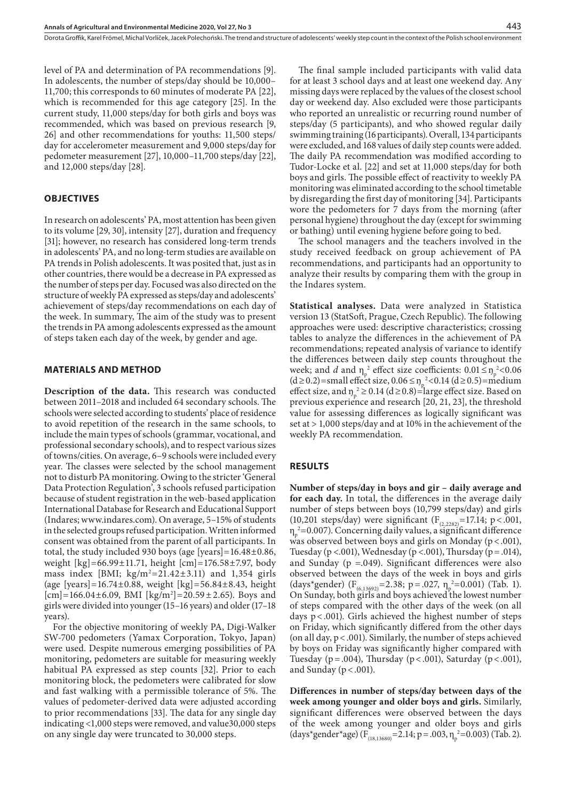level of PA and determination of PA recommendations [9]. In adolescents, the number of steps/day should be 10,000– 11,700; this corresponds to 60 minutes of moderate PA [22], which is recommended for this age category [25]. In the current study, 11,000 steps/day for both girls and boys was recommended, which was based on previous research [9, 26] and other recommendations for youths: 11,500 steps/ day for accelerometer measurement and 9,000 steps/day for pedometer measurement [27], 10,000–11,700 steps/day [22], and 12,000 steps/day [28].

#### **OBJECTIVES**

In research on adolescents' PA, most attention has been given to its volume [29, 30], intensity [27], duration and frequency [31]; however, no research has considered long-term trends in adolescents' PA, and no long-term studies are available on PA trends in Polish adolescents. It was posited that, just as in other countries, there would be a decrease in PA expressed as the number of steps per day. Focused was also directed on the structure of weekly PA expressed as steps/day and adolescents' achievement of steps/day recommendations on each day of the week. In summary, The aim of the study was to present the trends in PA among adolescents expressed as the amount of steps taken each day of the week, by gender and age.

#### **MATERIALS AND METHOD**

**Description of the data.** This research was conducted between 2011–2018 and included 64 secondary schools. The schools were selected according to students' place of residence to avoid repetition of the research in the same schools, to include the main types of schools (grammar, vocational, and professional secondary schools), and to respect various sizes of towns/cities. On average, 6–9 schools were included every year. The classes were selected by the school management not to disturb PA monitoring. Owing to the stricter 'General Data Protection Regulation', 3 schools refused participation because of student registration in the web-based application International Database for Research and Educational Support (Indares; [www.indares.com\)](http://www.indares.com). On average, 5–15% of students in the selected groups refused participation. Written informed consent was obtained from the parent of all participants. In total, the study included 930 boys (age [years]=16.48±0.86, weight [kg]=66.99±11.71, height [cm]=176.58±7.97, body mass index [BMI;  $\text{kg/m}^2 = 21.42 \pm 3.11$ ] and 1,354 girls (age [years]=16.74±0.88, weight [kg]=56.84±8.43, height  $[cm] = 166.04 \pm 6.09$ , BMI  $[kg/m^2] = 20.59 \pm 2.65$ ). Boys and girls were divided into younger (15–16 years) and older (17–18 years).

For the objective monitoring of weekly PA, Digi-Walker SW-700 pedometers (Yamax Corporation, Tokyo, Japan) were used. Despite numerous emerging possibilities of PA monitoring, pedometers are suitable for measuring weekly habitual PA expressed as step counts [32]. Prior to each monitoring block, the pedometers were calibrated for slow and fast walking with a permissible tolerance of 5%. The values of pedometer-derived data were adjusted according to prior recommendations [33]. The data for any single day indicating <1,000 steps were removed, and value30,000 steps on any single day were truncated to 30,000 steps.

The final sample included participants with valid data for at least 3 school days and at least one weekend day. Any missing days were replaced by the values of the closest school day or weekend day. Also excluded were those participants who reported an unrealistic or recurring round number of steps/day (5 participants), and who showed regular daily swimming training (16 participants). Overall, 134 participants were excluded, and 168 values of daily step counts were added. The daily PA recommendation was modified according to Tudor-Locke et al. [22] and set at 11,000 steps/day for both boys and girls. The possible effect of reactivity to weekly PA monitoring was eliminated according to the school timetable by disregarding the first day of monitoring [34]. Participants wore the pedometers for 7 days from the morning (after personal hygiene) throughout the day (except for swimming or bathing) until evening hygiene before going to bed.

The school managers and the teachers involved in the study received feedback on group achievement of PA recommendations, and participants had an opportunity to analyze their results by comparing them with the group in the Indares system.

**Statistical analyses.** Data were analyzed in Statistica version 13 (StatSoft, Prague, Czech Republic). The following approaches were used: descriptive characteristics; crossing tables to analyze the differences in the achievement of PA recommendations; repeated analysis of variance to identify the differences between daily step counts throughout the week; and *d* and  $\eta_p^2$  effect size coefficients:  $0.01 \le \eta_p^2 < 0.06$ (d ≥ 0.2) = small effect size, 0.06 ≤  $n_p^2$  < 0.14 (d ≥ 0.5) = medium effect size, and  $\eta_p^2 \ge 0.14$  (d  $\ge 0.8$ )=large effect size. Based on previous experience and research [20, 21, 23], the threshold value for assessing differences as logically significant was set at > 1,000 steps/day and at 10% in the achievement of the weekly PA recommendation.

#### **RESULTS**

**Number of steps/day in boys and gir – daily average and for each day.** In total, the differences in the average daily number of steps between boys (10,799 steps/day) and girls (10,201 steps/day) were significant ( $F_{(2,2282)}$ =17.14; p < .001,  $\eta_p^2$ =0.007). Concerning daily values, a significant difference was observed between boys and girls on Monday ( $p$  < .001), Tuesday (p <.001), Wednesday (p <.001), Thursday (p = .014), and Sunday ( $p = .049$ ). Significant differences were also observed between the days of the week in boys and girls (days\*gender)  $(F_{(6,13692)}=2.38; p=.027, \eta_p^2=0.001)$  (Tab. 1). On Sunday, both girls and boys achieved the lowest number of steps compared with the other days of the week (on all days p<.001). Girls achieved the highest number of steps on Friday, which significantly differed from the other days (on all day, p<.001). Similarly, the number of steps achieved by boys on Friday was significantly higher compared with Tuesday (p = .004), Thursday (p < .001), Saturday (p < .001), and Sunday ( $p < .001$ ).

**Differences in number of steps/day between days of the week among younger and older boys and girls.** Similarly, significant differences were observed between the days of the week among younger and older boys and girls (days\*gender\*age)  $(F_{(18,13680)} = 2.14; p = .003, \eta_p^2 = 0.003)$  (Tab. 2).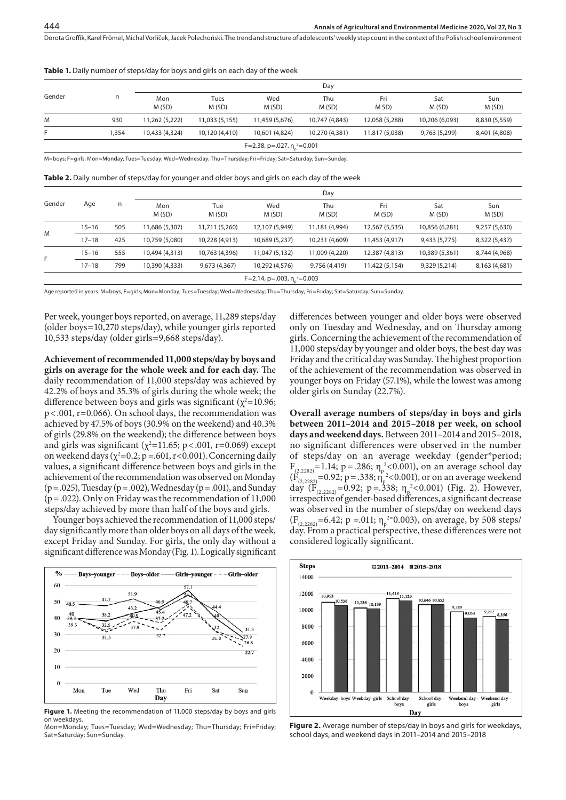#### Table 1. Daily number of steps/day for boys and girls on each day of the week

| Gender                                     | n    | Day            |                |                |                |                |                |               |  |
|--------------------------------------------|------|----------------|----------------|----------------|----------------|----------------|----------------|---------------|--|
|                                            |      | Mon<br>M(SD)   | Tues<br>M(SD)  | Wed<br>M(SD)   | Thu<br>M(SD)   | Fri<br>M SD)   | Sat<br>M(SD)   | Sun<br>M(SD)  |  |
| M                                          | 930  | 11,262 (5,222) | 11,033 (5,155) | 11,459 (5,676) | 10,747 (4,843) | 12,058 (5,288) | 10,206 (6,093) | 8,830 (5,559) |  |
| F.                                         | .354 | 10,433 (4,324) | 10,120 (4,410) | 10,601 (4,824) | 10,270 (4,381) | 11,817 (5,038) | 9,763 (5,299)  | 8,401 (4,808) |  |
| F=2.38, p=.027, $\eta$ <sup>2</sup> =0.001 |      |                |                |                |                |                |                |               |  |

M=boys; F=girls; Mon=Monday; Tues=Tuesday; Wed=Wednesday; Thu=Thursday; Fri=Friday; Sat=Saturday; Sun=Sunday.

**Table 2.** Daily number of steps/day for younger and older boys and girls on each day of the week

| Gender                                  | Age       | n   | Day            |                |                |                |                |                |               |  |
|-----------------------------------------|-----------|-----|----------------|----------------|----------------|----------------|----------------|----------------|---------------|--|
|                                         |           |     | Mon<br>M(SD)   | Tue<br>M(SD)   | Wed<br>M(SD)   | Thu<br>M (SD)  | Fri<br>M(SD)   | Sat<br>M(SD)   | Sun<br>M(SD)  |  |
| M                                       | $15 - 16$ | 505 | 11,686 (5,307) | 11,711 (5,260) | 12,107 (5,949) | 11,181 (4,994) | 12,567 (5,535) | 10,856 (6,281) | 9,257 (5,630) |  |
|                                         | $17 - 18$ | 425 | 10,759 (5,080) | 10,228 (4,913) | 10,689 (5,237) | 10,231 (4,609) | 11,453 (4,917) | 9,433 (5,775)  | 8,322 (5,437) |  |
| F.                                      | $15 - 16$ | 555 | 10,494 (4,313) | 10,763 (4,396) | 11,047 (5,132) | 11,009 (4,220) | 12,387 (4,813) | 10,389 (5,361) | 8,744 (4,968) |  |
|                                         | $17 - 18$ | 799 | 10,390 (4,333) | 9,673 (4,367)  | 10,292 (4,576) | 9,756 (4,419)  | 11,422 (5,154) | 9,329 (5,214)  | 8,163 (4,681) |  |
| F=2.14, p=.003, $\eta_{\rm o}^2$ =0.003 |           |     |                |                |                |                |                |                |               |  |

Age reported in years. M=boys; F=girls; Mon=Monday; Tues=Tuesday; Wed=Wednesday; Thu=Thursday; Fri=Friday; Sat=Saturday; Sun=Sunday.

Per week, younger boys reported, on average, 11,289 steps/day (older boys=10,270 steps/day), while younger girls reported 10,533 steps/day (older girls=9,668 steps/day).

**Achievement of recommended 11,000 steps/day by boys and girls on average for the whole week and for each day.** The daily recommendation of 11,000 steps/day was achieved by 42.2% of boys and 35.3% of girls during the whole week; the difference between boys and girls was significant ( $\chi^2$ =10.96; p<.001, r=0.066). On school days, the recommendation was achieved by 47.5% of boys (30.9% on the weekend) and 40.3% of girls (29.8% on the weekend); the difference between boys and girls was significant ( $\chi^2$ =11.65; p<.001, r=0.069) except on weekend days ( $\chi^2$ =0.2; p =.601, r<0.001). Concerning daily values, a significant difference between boys and girls in the achievement of the recommendation was observed on Monday  $(p=.025)$ , Tuesday  $(p=.002)$ , Wednesday  $(p=.001)$ , and Sunday  $(p=.022)$ . Only on Friday was the recommendation of 11,000 steps/day achieved by more than half of the boys and girls.

Younger boys achieved the recommendation of 11,000 steps/ day significantly more than older boys on all days of the week, except Friday and Sunday. For girls, the only day without a significant difference was Monday (Fig. 1). Logically significant



Figure 1. Meeting the recommendation of 11,000 steps/day by boys and girls on weekdays.

Mon=Monday; Tues=Tuesday; Wed=Wednesday; Thu=Thursday; Fri=Friday; Sat=Saturday; Sun=Sunday.

differences between younger and older boys were observed only on Tuesday and Wednesday, and on Thursday among girls. Concerning the achievement of the recommendation of 11,000 steps/day by younger and older boys, the best day was Friday and the critical day was Sunday. The highest proportion of the achievement of the recommendation was observed in younger boys on Friday (57.1%), while the lowest was among older girls on Sunday (22.7%).

**Overall average numbers of steps/day in boys and girls between 2011–2014 and 2015–2018 per week, on school days and weekend days.** Between 2011–2014 and 2015–2018, no significant differences were observed in the number of steps/day on an average weekday (gender\*period;  $F_{(2,2282)}$ =1.14; p=.286;  $\eta_{p}^{2}$ <0.001), on an average school day  $(F_{(2,2282)}=0.92; p=.338; \eta_p^2<0.001)$ , or on an average weekend day  $(F_{(2,2282)}=0.92; p=.338; \eta_p^2<0.001)$  (Fig. 2). However, irrespective of gender-based differences, a significant decrease was observed in the number of steps/day on weekend days  $(F_{(2,2282)}=6.42; p = 0.01; \eta_p^{2}=0.003)$ , on average, by 508 steps/ day. From a practical perspective, these differences were not considered logically significant.



**Figure 2.** Average number of steps/day in boys and girls for weekdays, school days, and weekend days in 2011–2014 and 2015–2018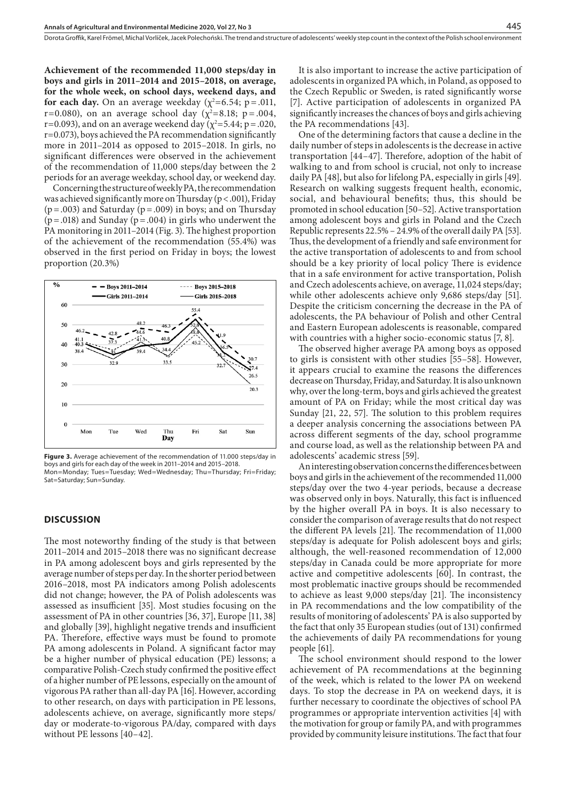**Achievement of the recommended 11,000 steps/day in boys and girls in 2011–2014 and 2015–2018, on average, for the whole week, on school days, weekend days, and for each day.** On an average weekday  $(\chi^2=6.54; p=.011,$ r=0.080), on an average school day ( $\chi^2$ =8.18; p = .004, r=0.093), and on an average weekend day ( $\chi^2$ =5.44; p = .020, r=0.073), boys achieved the PA recommendation significantly more in 2011–2014 as opposed to 2015–2018. In girls, no significant differences were observed in the achievement of the recommendation of 11,000 steps/day between the 2 periods for an average weekday, school day, or weekend day.

Concerning the structure of weekly PA, the recommendation was achieved significantly more on Thursday ( $p < .001$ ), Friday  $(p=.003)$  and Saturday  $(p=.009)$  in boys; and on Thursday  $(p=.018)$  and Sunday  $(p=.004)$  in girls who underwent the PA monitoring in 2011–2014 (Fig. 3). The highest proportion of the achievement of the recommendation (55.4%) was observed in the first period on Friday in boys; the lowest proportion (20.3%)



**Figure 3.** Average achievement of the recommendation of 11.000 steps/day in boys and girls for each day of the week in 2011–2014 and 2015–2018. Mon=Monday; Tues=Tuesday; Wed=Wednesday; Thu=Thursday; Fri=Friday; Sat=Saturday; Sun=Sunday.

#### **DISCUSSION**

The most noteworthy finding of the study is that between 2011–2014 and 2015–2018 there was no significant decrease in PA among adolescent boys and girls represented by the average number of steps per day. In the shorter period between 2016–2018, most PA indicators among Polish adolescents did not change; however, the PA of Polish adolescents was assessed as insufficient [35]. Most studies focusing on the assessment of PA in other countries [36, 37], Europe [11, 38] and globally [39], highlight negative trends and insufficient PA. Therefore, effective ways must be found to promote PA among adolescents in Poland. A significant factor may be a higher number of physical education (PE) lessons; a comparative Polish-Czech study confirmed the positive effect of a higher number of PE lessons, especially on the amount of vigorous PA rather than all-day PA [16]. However, according to other research, on days with participation in PE lessons, adolescents achieve, on average, significantly more steps/ day or moderate-to-vigorous PA/day, compared with days without PE lessons [40–42].

It is also important to increase the active participation of adolescents in organized PA which, in Poland, as opposed to the Czech Republic or Sweden, is rated significantly worse [7]. Active participation of adolescents in organized PA significantly increases the chances of boys and girls achieving the PA recommendations [43].

One of the determining factors that cause a decline in the daily number of steps in adolescents is the decrease in active transportation [44–47]. Therefore, adoption of the habit of walking to and from school is crucial, not only to increase daily PA [48], but also for lifelong PA, especially in girls [49]. Research on walking suggests frequent health, economic, social, and behavioural benefits; thus, this should be promoted in school education [50–52]. Active transportation among adolescent boys and girls in Poland and the Czech Republic represents 22.5% – 24.9% of the overall daily PA [53]. Thus, the development of a friendly and safe environment for the active transportation of adolescents to and from school should be a key priority of local policy There is evidence that in a safe environment for active transportation, Polish and Czech adolescents achieve, on average, 11,024 steps/day; while other adolescents achieve only 9,686 steps/day [51]. Despite the criticism concerning the decrease in the PA of adolescents, the PA behaviour of Polish and other Central and Eastern European adolescents is reasonable, compared with countries with a higher socio-economic status [7, 8].

The observed higher average PA among boys as opposed to girls is consistent with other studies [55–58]. However, it appears crucial to examine the reasons the differences decrease on Thursday, Friday, and Saturday. It is also unknown why, over the long-term, boys and girls achieved the greatest amount of PA on Friday; while the most critical day was Sunday [21, 22, 57]. The solution to this problem requires a deeper analysis concerning the associations between PA across different segments of the day, school programme and course load, as well as the relationship between PA and adolescents' academic stress [59].

An interesting observation concerns the differences between boys and girls in the achievement of the recommended 11,000 steps/day over the two 4-year periods, because a decrease was observed only in boys. Naturally, this fact is influenced by the higher overall PA in boys. It is also necessary to consider the comparison of average results that do not respect the different PA levels [21]. The recommendation of 11,000 steps/day is adequate for Polish adolescent boys and girls; although, the well-reasoned recommendation of 12,000 steps/day in Canada could be more appropriate for more active and competitive adolescents [60]. In contrast, the most problematic inactive groups should be recommended to achieve as least 9,000 steps/day [21]. The inconsistency in PA recommendations and the low compatibility of the results of monitoring of adolescents' PA is also supported by the fact that only 35 European studies (out of 131) confirmed the achievements of daily PA recommendations for young people [61].

The school environment should respond to the lower achievement of PA recommendations at the beginning of the week, which is related to the lower PA on weekend days. To stop the decrease in PA on weekend days, it is further necessary to coordinate the objectives of school PA programmes or appropriate intervention activities [4] with the motivation for group or family PA, and with programmes provided by community leisure institutions. The fact that four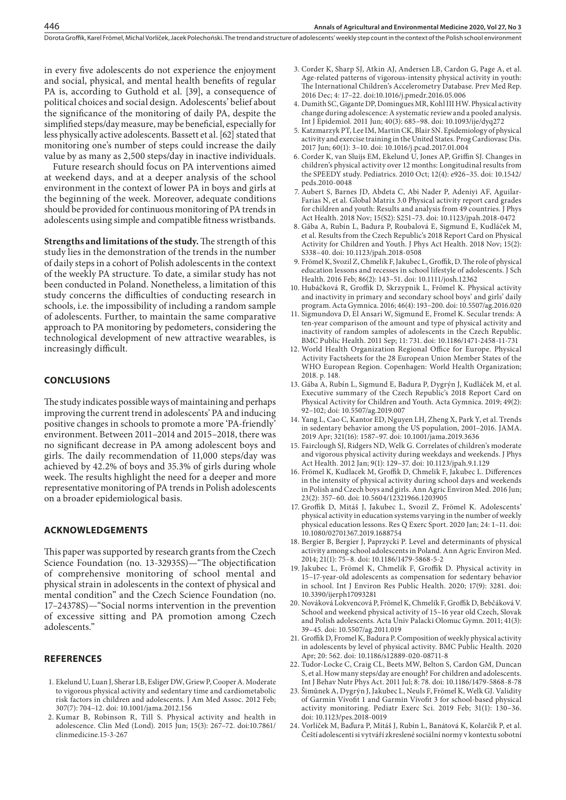in every five adolescents do not experience the enjoyment and social, physical, and mental health benefits of regular PA is, according to Guthold et al. [39], a consequence of political choices and social design. Adolescents' belief about the significance of the monitoring of daily PA, despite the simplified steps/day measure, may be beneficial, especially for less physically active adolescents. Bassett et al. [62] stated that monitoring one's number of steps could increase the daily value by as many as 2,500 steps/day in inactive individuals.

Future research should focus on PA interventions aimed at weekend days, and at a deeper analysis of the school environment in the context of lower PA in boys and girls at the beginning of the week. Moreover, adequate conditions should be provided for continuous monitoring of PA trends in adolescents using simple and compatible fitness wristbands.

**Strengths and limitations of the study.** The strength of this study lies in the demonstration of the trends in the number of daily steps in a cohort of Polish adolescents in the context of the weekly PA structure. To date, a similar study has not been conducted in Poland. Nonetheless, a limitation of this study concerns the difficulties of conducting research in schools, i.e. the impossibility of including a random sample of adolescents. Further, to maintain the same comparative approach to PA monitoring by pedometers, considering the technological development of new attractive wearables, is increasingly difficult.

#### **CONCLUSIONS**

The study indicates possible ways of maintaining and perhaps improving the current trend in adolescents' PA and inducing positive changes in schools to promote a more 'PA-friendly' environment. Between 2011–2014 and 2015–2018, there was no significant decrease in PA among adolescent boys and girls. The daily recommendation of 11,000 steps/day was achieved by 42.2% of boys and 35.3% of girls during whole week. The results highlight the need for a deeper and more representative monitoring of PA trends in Polish adolescents on a broader epidemiological basis.

#### **ACKNOWLEDGEMENTS**

This paper was supported by research grants from the Czech Science Foundation (no. 13-32935S)—"The objectification of comprehensive monitoring of school mental and physical strain in adolescents in the context of physical and mental condition" and the Czech Science Foundation (no. 17–24378S)—"Social norms intervention in the prevention of excessive sitting and PA promotion among Czech adolescents."

#### **REFERENCES**

- 1. Ekelund U, Luan J, Sherar LB, Esliger DW, Griew P, Cooper A. Moderate to vigorous physical activity and sedentary time and cardiometabolic risk factors in children and adolescents. J Am Med Assoc. 2012 Feb; 307(7): 704–12. doi: 10.1001/jama.2012.156
- 2. Kumar B, Robinson R, Till S. Physical activity and health in adolescence. Clin Med (Lond). 2015 Jun; 15(3): 267–72. doi:10.7861/ clinmedicine.15-3-267
- 3. Corder K, Sharp SJ, Atkin AJ, Andersen LB, Cardon G, Page A, et al. Age-related patterns of vigorous-intensity physical activity in youth: The International Children's Accelerometry Database. Prev Med Rep. 2016 Dec; 4: 17–22. doi[:10.1016/j.pmedr.2016.05.006](https://dx.doi.org/10.1016%2Fj.pmedr.2016.05.006)
- 4. Dumith SC, Gigante DP, Domingues MR, Kohl III HW. Physical activity change during adolescence: A systematic review and a pooled analysis. Int J Epidemiol. 2011 Jun; 40(3): 685–98. doi: 10.1093/ije/dyq272
- 5. Katzmarzyk PT, Lee IM, Martin CK, Blair SN. Epidemiology of physical activity and exercise training in the United States. Prog Cardiovasc Dis. 2017 Jun; 60(1): 3–10. doi: 10.1016/j.pcad.2017.01.004
- 6. Corder K, van Sluijs EM, Ekelund U, Jones AP, Griffin SJ. Changes in children's physical activity over 12 months: Longitudinal results from the SPEEDY study. Pediatrics. 2010 Oct; 12(4): e926–35. doi: 10.1542/ peds.2010-0048
- 7. Aubert S, Barnes JD, Abdeta C, Abi Nader P, Adeniyi AF, Aguilar-Farias N, et al. Global Matrix 3.0 Physical activity report card grades for children and youth: Results and analysis from 49 countries. J Phys Act Health. 2018 Nov; 15(S2): S251–73. doi: 10.1123/jpah.2018-0472
- 8. Gába A, Rubín L, Badura P, Roubalová E, Sigmund E, Kudláček M, et al. Results from the Czech Republic's 2018 Report Card on Physical Activity for Children and Youth. J Phys Act Health. 2018 Nov; 15(2): S338–40. doi: 10.1123/jpah.2018-0508
- 9. Frömel K, Svozil Z, Chmelík F, Jakubec L, Groffik, D. The role of physical education lessons and recesses in school lifestyle of adolescents. J Sch Health. 2016 Feb; 86(2): 143–51. doi: 10.1111/josh.12362
- 10. Hubáčková R, Groffik D, Skrzypnik L, Frömel K. Physical activity and inactivity in primary and secondary school boys' and girls' daily program. Acta Gymnica. 2016; 46(4): 193–200. doi: 10.5507/ag.2016.020
- 11. Sigmundova D, El Ansari W, Sigmund E, Fromel K. Secular trends: A ten-year comparison of the amount and type of physical activity and inactivity of random samples of adolescents in the Czech Republic. BMC Public Health. 2011 Sep; 11: 731. doi: 10.1186/1471-2458-11-731
- 12. World Health Organization Regional Office for Europe. Physical Activity Factsheets for the 28 European Union Member States of the WHO European Region. Copenhagen: World Health Organization; 2018. p. 148.
- 13. Gába A, Rubín L, Sigmund E, Badura P, Dygrýn J, Kudláček M, et al. Executive summary of the Czech Republic's 2018 Report Card on Physical Activity for Children and Youth. Acta Gymnica. 2019; 49(2): 92–102; doi: 10.5507/ag.2019.007
- 14. Yang L, Cao C, Kantor ED, Nguyen LH, Zheng X, Park Y, et al. Trends in sedentary behavior among the US population, 2001–2016. JAMA. 2019 Apr; 321(16): 1587–97. doi: 10.1001/jama.2019.3636
- 15. Fairclough SJ, Ridgers ND, Welk G. Correlates of children's moderate and vigorous physical activity during weekdays and weekends. J Phys Act Health. 2012 Jan; 9(1): 129–37. doi: 10.1123/jpah.9.1.129
- 16. Frömel K, Kudlacek M, Groffik D, Chmelik F, Jakubec L. Differences in the intensity of physical activity during school days and weekends in Polish and Czech boys and girls. Ann Agric Environ Med. 2016 Jun; 23(2): 357–60. doi: 10.5604/12321966.1203905
- 17. Groffik D, Mitáš J, Jakubec L, Svozil Z, Frömel K. Adolescents' physical activity in education systems varying in the number of weekly physical education lessons. Res Q Exerc Sport. 2020 Jan; 24: 1–11. doi: 10.1080/02701367.2019.1688754
- 18. Bergier B, Bergier J, Paprzycki P. Level and determinants of physical activity among school adolescents in Poland. Ann Agric Environ Med. 2014; 21(1): 75–8. [doi: 10.1186/1479-5868-5-2](https://doi.org/10.1186/1479-5868-5-2)
- 19. Jakubec L, Frömel K, Chmelík F, Groffik D. Physical activity in 15–17-year-old adolescents as compensation for sedentary behavior in school. Int J Environ Res Public Health. 2020; 17(9): 3281. [doi:](https://doi.org/10.3390/ijerph17093281)  [10.3390/ijerph17093281](https://doi.org/10.3390/ijerph17093281)
- 20. Nováková Lokvencová P, Frömel K, Chmelík F, Groffik D, Bebčáková V. School and weekend physical activity of 15–16 year old Czech, Slovak and Polish adolescents. Acta Univ Palacki Olomuc Gymn. 2011; 41(3): 39–45. doi: 10.5507/ag.2011.019
- 21. Groffik D, Fromel K, Badura P. Composition of weekly physical activity in adolescents by level of physical activity. BMC Public Health. 2020 Apr; 20: 562. doi: [10.1186/s12889-020-08711-8](https://dx.doi.org/10.1186%2Fs12889-020-08711-8)
- 22. Tudor-Locke C, Craig CL, Beets MW, Belton S, Cardon GM, Duncan S, et al. How many steps/day are enough? For children and adolescents. Int J Behav Nutr Phys Act. 2011 Jul; 8: 78. doi: 10.1186/1479-5868-8-78
- 23. Šimůnek A, Dygrýn J, Jakubec L, Neuls F, Frömel K, Welk GJ. Validity of Garmin Vívofit 1 and Garmin Vívofit 3 for school-based physical activity monitoring. Pediatr Exerc Sci. 2019 Feb; 31(1): 130–36. doi: 10.1123/pes.2018-0019
- 24. Vorlíček M, Baďura P, Mitáš J, Rubín L, Banátová K, Kolarčik P, et al. Čeští adolescenti si vytváří zkreslené sociální normy v kontextu sobotní